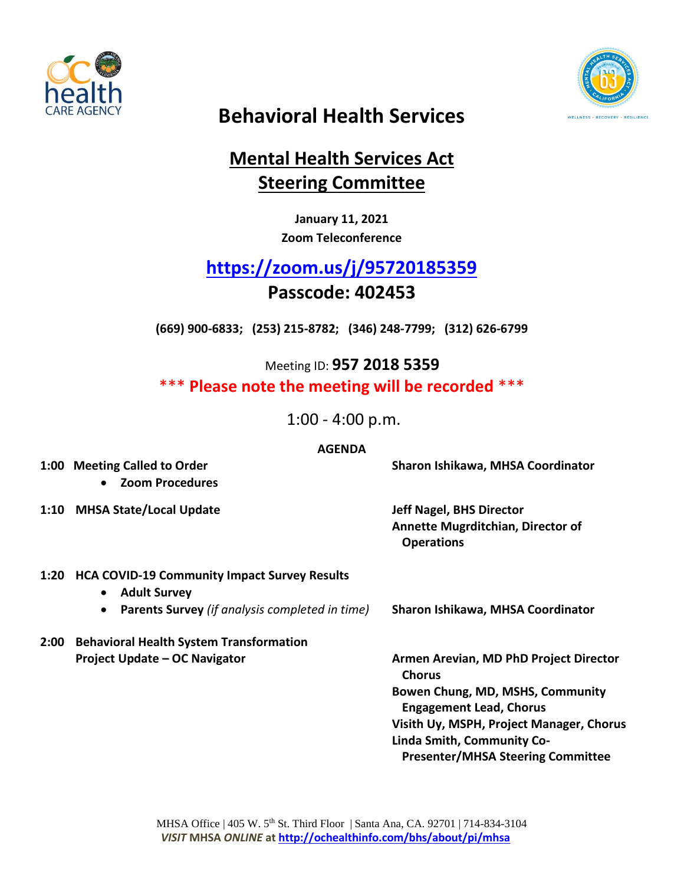



# **Behavioral Health Services**

## **Mental Health Services Act Steering Committee**

**January 11, 2021 Zoom Teleconference**

# **<https://zoom.us/j/95720185359>**

## **Passcode: 402453**

**(669) 900-6833; (253) 215-8782; (346) 248-7799; (312) 626-6799**

 Meeting ID: **957 2018 5359** \*\*\* **Please note the meeting will be recorded** \*\*\*

1:00 - 4:00 p.m.

#### **AGENDA**

**1:00 Meeting Called to Order Sharon Ishikawa, MHSA Coordinator**

**Zoom Procedures**

**1:10 MHSA State/Local Update Jeff Nagel, BHS Director**

**Annette Mugrditchian, Director of Operations**

## **1:20 HCA COVID-19 Community Impact Survey Results**

- **Adult Survey**
- **Parents Survey** *(if analysis completed in time)* **Sharon Ishikawa, MHSA Coordinator**
- **2:00 Behavioral Health System Transformation Project Update – OC Navigator Armen Arevian, MD PhD Project Director**
- 

**Chorus Bowen Chung, MD, MSHS, Community Engagement Lead, Chorus Visith Uy, MSPH, Project Manager, Chorus Linda Smith, Community Co-Presenter/MHSA Steering Committee**